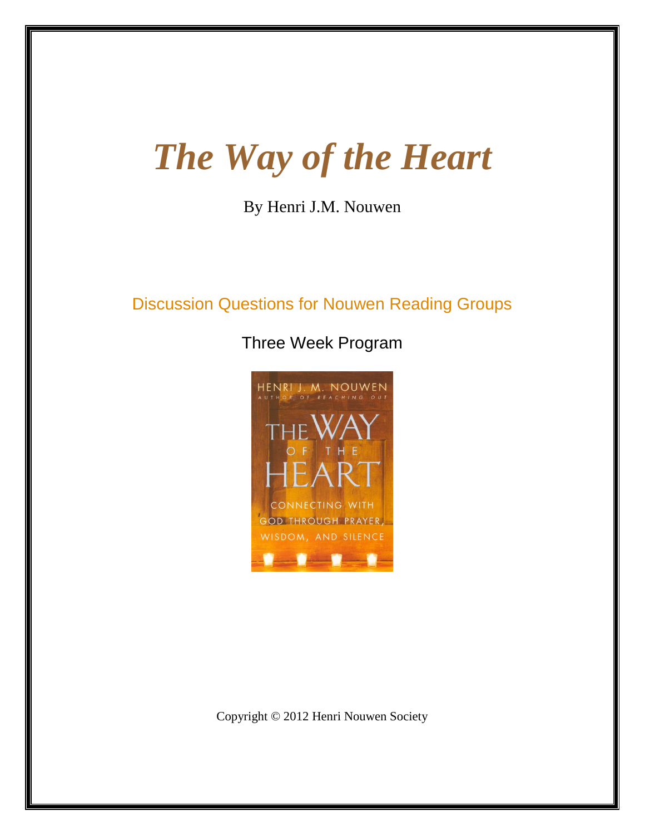# *The Way of the Heart*

By Henri J.M. Nouwen

# Discussion Questions for Nouwen Reading Groups

Three Week Program



Copyright © 2012 Henri Nouwen Society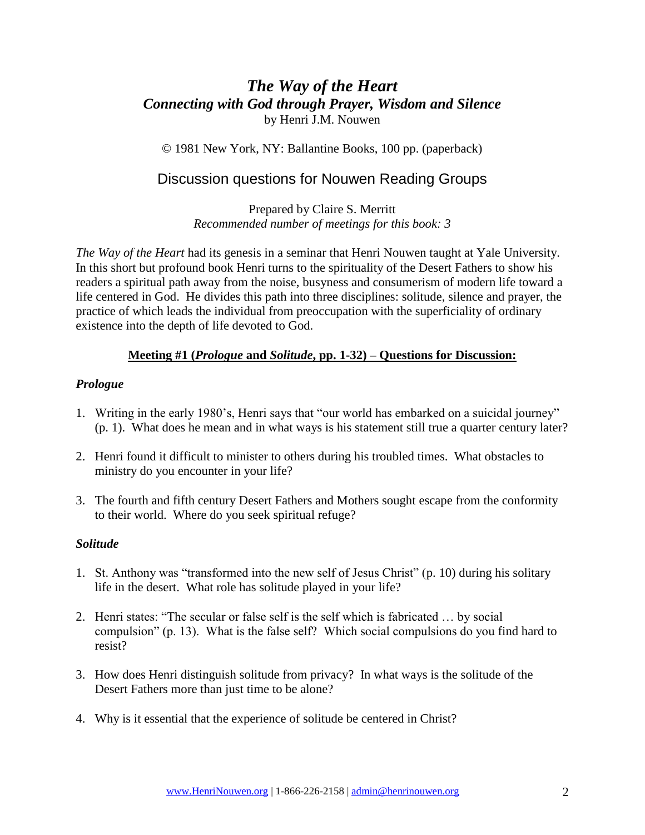## *The Way of the Heart Connecting with God through Prayer, Wisdom and Silence* by Henri J.M. Nouwen

© 1981 New York, NY: Ballantine Books, 100 pp. (paperback)

# Discussion questions for Nouwen Reading Groups

Prepared by Claire S. Merritt *Recommended number of meetings for this book: 3*

*The Way of the Heart* had its genesis in a seminar that Henri Nouwen taught at Yale University. In this short but profound book Henri turns to the spirituality of the Desert Fathers to show his readers a spiritual path away from the noise, busyness and consumerism of modern life toward a life centered in God. He divides this path into three disciplines: solitude, silence and prayer, the practice of which leads the individual from preoccupation with the superficiality of ordinary existence into the depth of life devoted to God.

#### **Meeting #1 (***Prologue* **and** *Solitude***, pp. 1-32) – Questions for Discussion:**

#### *Prologue*

- 1. Writing in the early 1980's, Henri says that "our world has embarked on a suicidal journey" (p. 1). What does he mean and in what ways is his statement still true a quarter century later?
- 2. Henri found it difficult to minister to others during his troubled times. What obstacles to ministry do you encounter in your life?
- 3. The fourth and fifth century Desert Fathers and Mothers sought escape from the conformity to their world. Where do you seek spiritual refuge?

#### *Solitude*

- 1. St. Anthony was "transformed into the new self of Jesus Christ" (p. 10) during his solitary life in the desert. What role has solitude played in your life?
- 2. Henri states: "The secular or false self is the self which is fabricated … by social compulsion" (p. 13). What is the false self? Which social compulsions do you find hard to resist?
- 3. How does Henri distinguish solitude from privacy? In what ways is the solitude of the Desert Fathers more than just time to be alone?
- 4. Why is it essential that the experience of solitude be centered in Christ?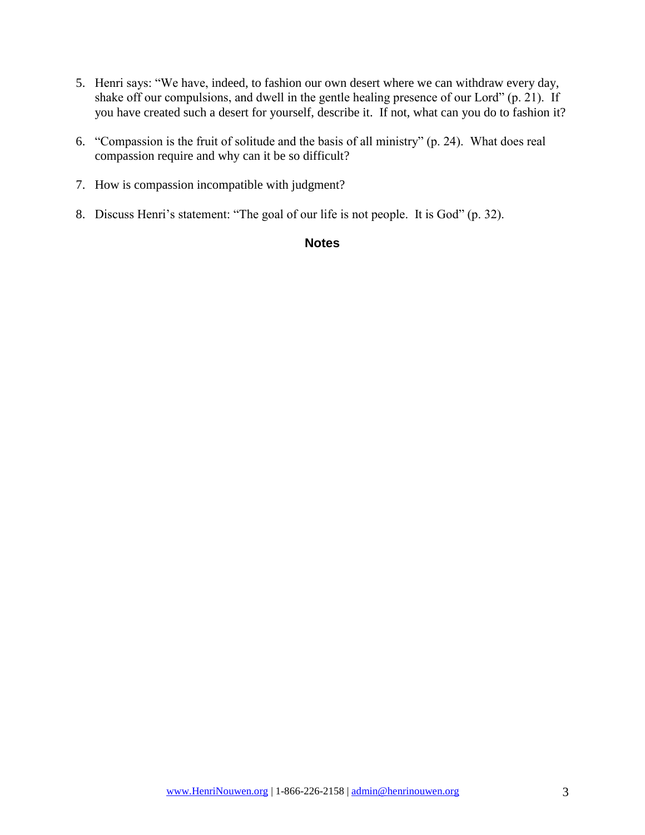- 5. Henri says: "We have, indeed, to fashion our own desert where we can withdraw every day, shake off our compulsions, and dwell in the gentle healing presence of our Lord" (p. 21). If you have created such a desert for yourself, describe it. If not, what can you do to fashion it?
- 6. "Compassion is the fruit of solitude and the basis of all ministry" (p. 24). What does real compassion require and why can it be so difficult?
- 7. How is compassion incompatible with judgment?
- 8. Discuss Henri's statement: "The goal of our life is not people. It is God" (p. 32).

#### **Notes**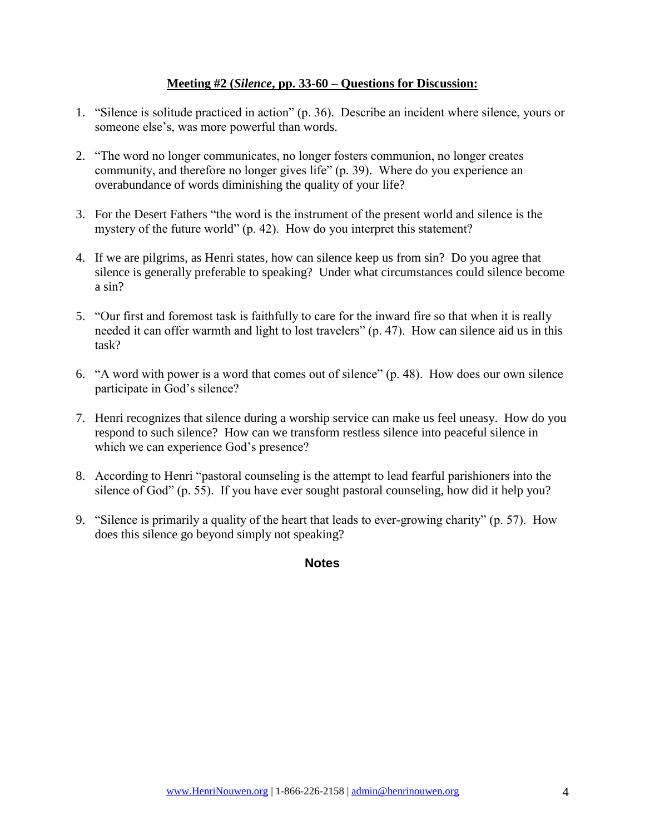#### **Meeting #2 (***Silence***, pp. 33-60 – Questions for Discussion:**

- 1. "Silence is solitude practiced in action" (p. 36). Describe an incident where silence, yours or someone else's, was more powerful than words.
- 2. "The word no longer communicates, no longer fosters communion, no longer creates community, and therefore no longer gives life" (p. 39). Where do you experience an overabundance of words diminishing the quality of your life?
- 3. For the Desert Fathers "the word is the instrument of the present world and silence is the mystery of the future world" (p. 42). How do you interpret this statement?
- 4. If we are pilgrims, as Henri states, how can silence keep us from sin? Do you agree that silence is generally preferable to speaking? Under what circumstances could silence become a sin?
- 5. "Our first and foremost task is faithfully to care for the inward fire so that when it is really needed it can offer warmth and light to lost travelers" (p. 47). How can silence aid us in this task?
- 6. "A word with power is a word that comes out of silence" (p. 48). How does our own silence participate in God's silence?
- 7. Henri recognizes that silence during a worship service can make us feel uneasy. How do you respond to such silence? How can we transform restless silence into peaceful silence in which we can experience God's presence?
- 8. According to Henri "pastoral counseling is the attempt to lead fearful parishioners into the silence of God" (p. 55). If you have ever sought pastoral counseling, how did it help you?
- 9. "Silence is primarily a quality of the heart that leads to ever-growing charity" (p. 57). How does this silence go beyond simply not speaking?

#### **Notes**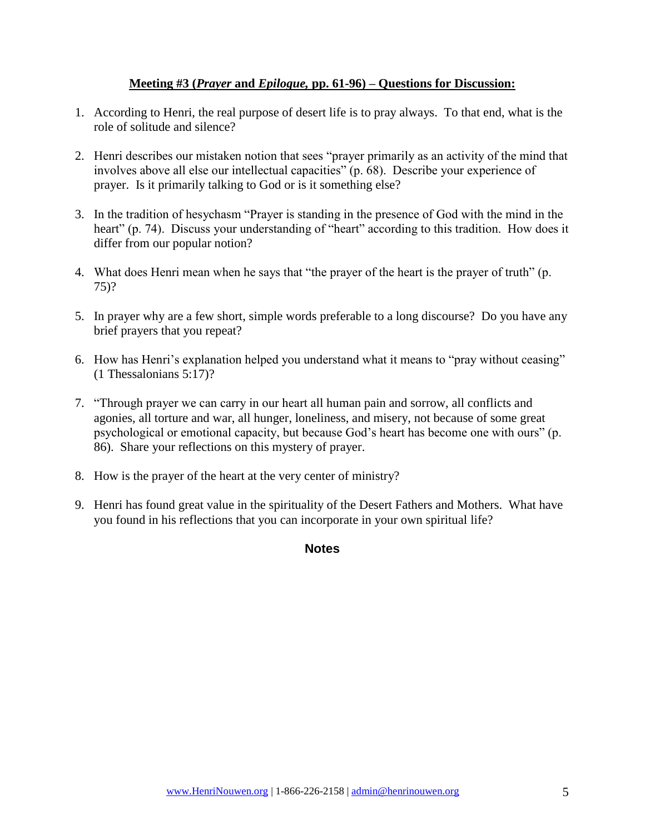#### **Meeting #3 (***Prayer* **and** *Epilogue,* **pp. 61-96) – Questions for Discussion:**

- 1. According to Henri, the real purpose of desert life is to pray always. To that end, what is the role of solitude and silence?
- 2. Henri describes our mistaken notion that sees "prayer primarily as an activity of the mind that involves above all else our intellectual capacities" (p. 68). Describe your experience of prayer. Is it primarily talking to God or is it something else?
- 3. In the tradition of hesychasm "Prayer is standing in the presence of God with the mind in the heart" (p. 74). Discuss your understanding of "heart" according to this tradition. How does it differ from our popular notion?
- 4. What does Henri mean when he says that "the prayer of the heart is the prayer of truth" (p. 75)?
- 5. In prayer why are a few short, simple words preferable to a long discourse? Do you have any brief prayers that you repeat?
- 6. How has Henri's explanation helped you understand what it means to "pray without ceasing" (1 Thessalonians 5:17)?
- 7. "Through prayer we can carry in our heart all human pain and sorrow, all conflicts and agonies, all torture and war, all hunger, loneliness, and misery, not because of some great psychological or emotional capacity, but because God's heart has become one with ours" (p. 86). Share your reflections on this mystery of prayer.
- 8. How is the prayer of the heart at the very center of ministry?
- 9. Henri has found great value in the spirituality of the Desert Fathers and Mothers. What have you found in his reflections that you can incorporate in your own spiritual life?

**Notes**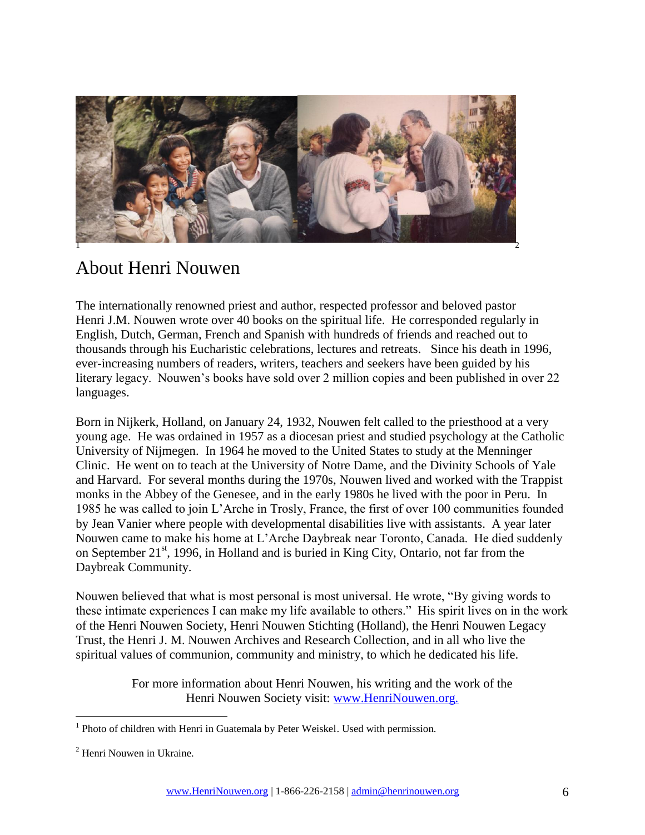

# About Henri Nouwen

The internationally renowned priest and author, respected professor and beloved pastor Henri J.M. Nouwen wrote over 40 books on the spiritual life. He corresponded regularly in English, Dutch, German, French and Spanish with hundreds of friends and reached out to thousands through his Eucharistic celebrations, lectures and retreats. Since his death in 1996, ever-increasing numbers of readers, writers, teachers and seekers have been guided by his literary legacy. Nouwen's books have sold over 2 million copies and been published in over 22 languages.

Born in Nijkerk, Holland, on January 24, 1932, Nouwen felt called to the priesthood at a very young age. He was ordained in 1957 as a diocesan priest and studied psychology at the Catholic University of Nijmegen. In 1964 he moved to the United States to study at the Menninger Clinic. He went on to teach at the University of Notre Dame, and the Divinity Schools of Yale and Harvard. For several months during the 1970s, Nouwen lived and worked with the Trappist monks in the Abbey of the Genesee, and in the early 1980s he lived with the poor in Peru. In 1985 he was called to join L'Arche in Trosly, France, the first of over 100 communities founded by Jean Vanier where people with developmental disabilities live with assistants. A year later Nouwen came to make his home at L'Arche Daybreak near Toronto, Canada. He died suddenly on September 21<sup>st</sup>, 1996, in Holland and is buried in King City, Ontario, not far from the Daybreak Community.

Nouwen believed that what is most personal is most universal. He wrote, "By giving words to these intimate experiences I can make my life available to others." His spirit lives on in the work of the Henri Nouwen Society, Henri Nouwen Stichting (Holland), the Henri Nouwen Legacy Trust, the Henri J. M. Nouwen Archives and Research Collection, and in all who live the spiritual values of communion, community and ministry, to which he dedicated his life.

> For more information about Henri Nouwen, his writing and the work of the Henri Nouwen Society visit: [www.HenriNouwen.org.](http://www.henrinouwen.org/henri/about/)

 $\overline{a}$ 

<sup>&</sup>lt;sup>1</sup> Photo of children with Henri in Guatemala by Peter Weiskel. Used with permission.

<sup>2</sup> Henri Nouwen in Ukraine.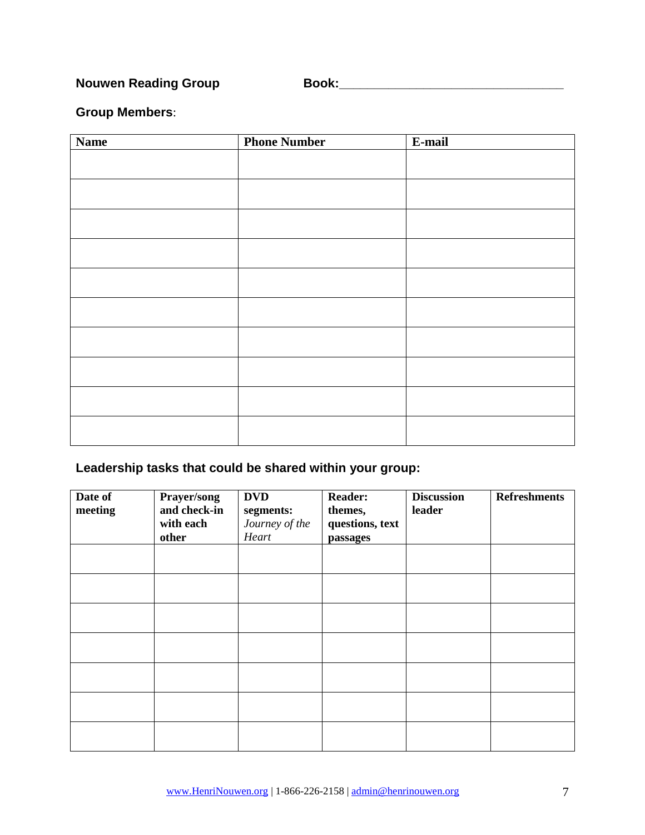**Nouwen Reading Group Book:\_\_\_\_\_\_\_\_\_\_\_\_\_\_\_\_\_\_\_\_\_\_\_\_\_\_\_\_\_\_\_\_**

### **Group Members**:

| <b>Name</b> | <b>Phone Number</b> | E-mail |
|-------------|---------------------|--------|
|             |                     |        |
|             |                     |        |
|             |                     |        |
|             |                     |        |
|             |                     |        |
|             |                     |        |
|             |                     |        |
|             |                     |        |
|             |                     |        |
|             |                     |        |
|             |                     |        |
|             |                     |        |
|             |                     |        |
|             |                     |        |
|             |                     |        |
|             |                     |        |
|             |                     |        |
|             |                     |        |
|             |                     |        |

# **Leadership tasks that could be shared within your group:**

| Date of<br>meeting | Prayer/song<br>and check-in<br>with each<br>other | <b>DVD</b><br>segments:<br>Journey of the<br>Heart | <b>Reader:</b><br>themes,<br>questions, text<br>passages | <b>Discussion</b><br>leader | <b>Refreshments</b> |
|--------------------|---------------------------------------------------|----------------------------------------------------|----------------------------------------------------------|-----------------------------|---------------------|
|                    |                                                   |                                                    |                                                          |                             |                     |
|                    |                                                   |                                                    |                                                          |                             |                     |
|                    |                                                   |                                                    |                                                          |                             |                     |
|                    |                                                   |                                                    |                                                          |                             |                     |
|                    |                                                   |                                                    |                                                          |                             |                     |
|                    |                                                   |                                                    |                                                          |                             |                     |
|                    |                                                   |                                                    |                                                          |                             |                     |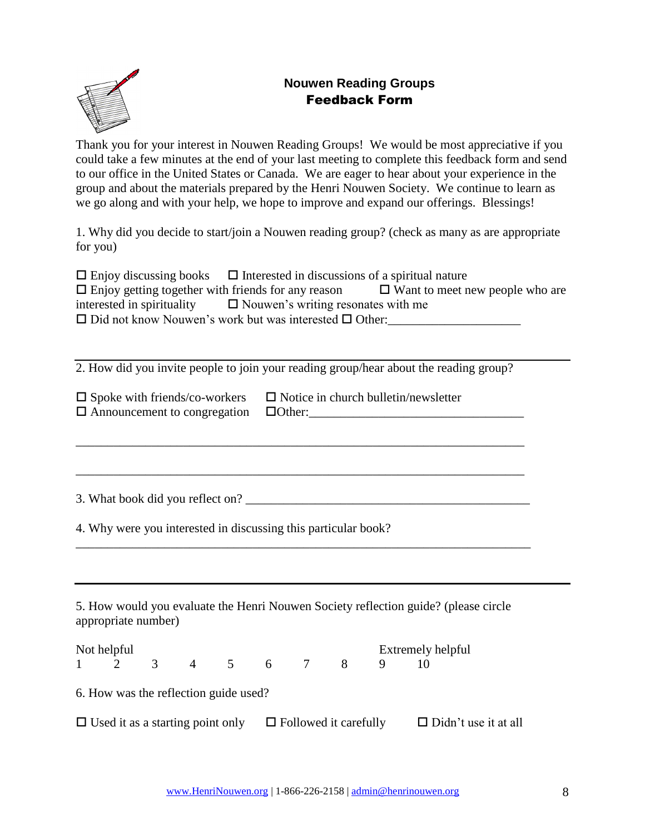## **Nouwen Reading Groups** Feedback Form



Thank you for your interest in Nouwen Reading Groups! We would be most appreciative if you could take a few minutes at the end of your last meeting to complete this feedback form and send to our office in the United States or Canada. We are eager to hear about your experience in the group and about the materials prepared by the Henri Nouwen Society. We continue to learn as we go along and with your help, we hope to improve and expand our offerings. Blessings!

1. Why did you decide to start/join a Nouwen reading group? (check as many as are appropriate for you)

| $\Box$ Enjoy discussing books $\Box$ Interested in discussions of a spiritual nature |                                        |
|--------------------------------------------------------------------------------------|----------------------------------------|
| $\Box$ Enjoy getting together with friends for any reason                            | $\Box$ Want to meet new people who are |
| interested in spirituality $\Box$ Nouwen's writing resonates with me                 |                                        |
| $\Box$ Did not know Nouwen's work but was interested $\Box$ Other:                   |                                        |

2. How did you invite people to join your reading group/hear about the reading group?

\_\_\_\_\_\_\_\_\_\_\_\_\_\_\_\_\_\_\_\_\_\_\_\_\_\_\_\_\_\_\_\_\_\_\_\_\_\_\_\_\_\_\_\_\_\_\_\_\_\_\_\_\_\_\_\_\_\_\_\_\_\_\_\_\_\_\_\_\_\_\_

|                                                   | $\Box$ Spoke with friends/co-workers $\Box$ Notice in church bulletin/newsletter |
|---------------------------------------------------|----------------------------------------------------------------------------------|
| $\Box$ Announcement to congregation $\Box$ Other: |                                                                                  |

3. What book did you reflect on?

4. Why were you interested in discussing this particular book?

5. How would you evaluate the Henri Nouwen Society reflection guide? (please circle appropriate number)

\_\_\_\_\_\_\_\_\_\_\_\_\_\_\_\_\_\_\_\_\_\_\_\_\_\_\_\_\_\_\_\_\_\_\_\_\_\_\_\_\_\_\_\_\_\_\_\_\_\_\_\_\_\_\_\_\_\_\_\_\_\_\_\_\_\_\_\_\_\_\_\_

| Not helpful                                                          |                |         |  |              | Extremely helpful |                             |
|----------------------------------------------------------------------|----------------|---------|--|--------------|-------------------|-----------------------------|
| $1 \quad 2$                                                          | $\overline{3}$ | 4 5 6 7 |  | $\mathbf{8}$ |                   |                             |
| 6. How was the reflection guide used?                                |                |         |  |              |                   |                             |
| $\Box$ Used it as a starting point only $\Box$ Followed it carefully |                |         |  |              |                   | $\Box$ Didn't use it at all |